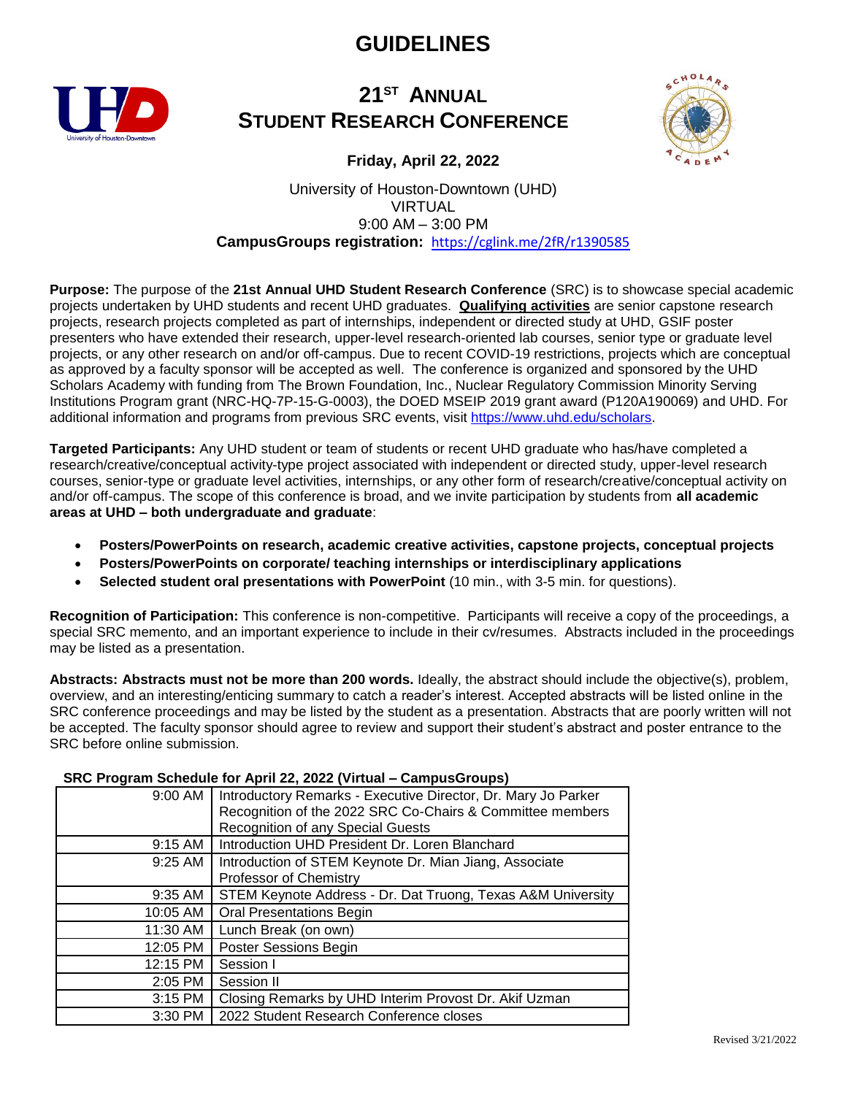# **GUIDELINES**



### **21 ST ANNUAL STUDENT RESEARCH CONFERENCE**



**Friday, April 22, 2022**

#### University of Houston-Downtown (UHD) VIRTUAL 9:00 AM – 3:00 PM **CampusGroups registration:** <https://cglink.me/2fR/r1390585>

**Purpose:** The purpose of the **21st Annual UHD Student Research Conference** (SRC) is to showcase special academic projects undertaken by UHD students and recent UHD graduates. **Qualifying activities** are senior capstone research projects, research projects completed as part of internships, independent or directed study at UHD, GSIF poster presenters who have extended their research, upper-level research-oriented lab courses, senior type or graduate level projects, or any other research on and/or off-campus. Due to recent COVID-19 restrictions, projects which are conceptual as approved by a faculty sponsor will be accepted as well. The conference is organized and sponsored by the UHD Scholars Academy with funding from The Brown Foundation, Inc., Nuclear Regulatory Commission Minority Serving Institutions Program grant (NRC-HQ-7P-15-G-0003), the DOED MSEIP 2019 grant award (P120A190069) and UHD. For additional information and programs from previous SRC events, visit [https://www.uhd.edu/scholars.](https://www.uhd.edu/scholars)

**Targeted Participants:** Any UHD student or team of students or recent UHD graduate who has/have completed a research/creative/conceptual activity-type project associated with independent or directed study, upper-level research courses, senior-type or graduate level activities, internships, or any other form of research/creative/conceptual activity on and/or off-campus. The scope of this conference is broad, and we invite participation by students from **all academic areas at UHD – both undergraduate and graduate**:

- **Posters/PowerPoints on research, academic creative activities, capstone projects, conceptual projects**
- **Posters/PowerPoints on corporate/ teaching internships or interdisciplinary applications**
- **Selected student oral presentations with PowerPoint** (10 min., with 3-5 min. for questions).

**Recognition of Participation:** This conference is non-competitive. Participants will receive a copy of the proceedings, a special SRC memento, and an important experience to include in their cv/resumes. Abstracts included in the proceedings may be listed as a presentation.

**Abstracts: Abstracts must not be more than 200 words.** Ideally, the abstract should include the objective(s), problem, overview, and an interesting/enticing summary to catch a reader's interest. Accepted abstracts will be listed online in the SRC conference proceedings and may be listed by the student as a presentation. Abstracts that are poorly written will not be accepted. The faculty sponsor should agree to review and support their student's abstract and poster entrance to the SRC before online submission.

| 9:00 AM  | Introductory Remarks - Executive Director, Dr. Mary Jo Parker<br>Recognition of the 2022 SRC Co-Chairs & Committee members<br>Recognition of any Special Guests |
|----------|-----------------------------------------------------------------------------------------------------------------------------------------------------------------|
| 9:15 AM  | Introduction UHD President Dr. Loren Blanchard                                                                                                                  |
| 9:25 AM  | Introduction of STEM Keynote Dr. Mian Jiang, Associate<br>Professor of Chemistry                                                                                |
| 9:35 AM  | STEM Keynote Address - Dr. Dat Truong, Texas A&M University                                                                                                     |
| 10:05 AM | <b>Oral Presentations Begin</b>                                                                                                                                 |
| 11:30 AM | Lunch Break (on own)                                                                                                                                            |
| 12:05 PM | <b>Poster Sessions Begin</b>                                                                                                                                    |
| 12:15 PM | Session I                                                                                                                                                       |
| 2:05 PM  | Session II                                                                                                                                                      |
| 3:15 PM  | Closing Remarks by UHD Interim Provost Dr. Akif Uzman                                                                                                           |
| 3:30 PM  | 2022 Student Research Conference closes                                                                                                                         |

#### **SRC Program Schedule for April 22, 2022 (Virtual – CampusGroups)**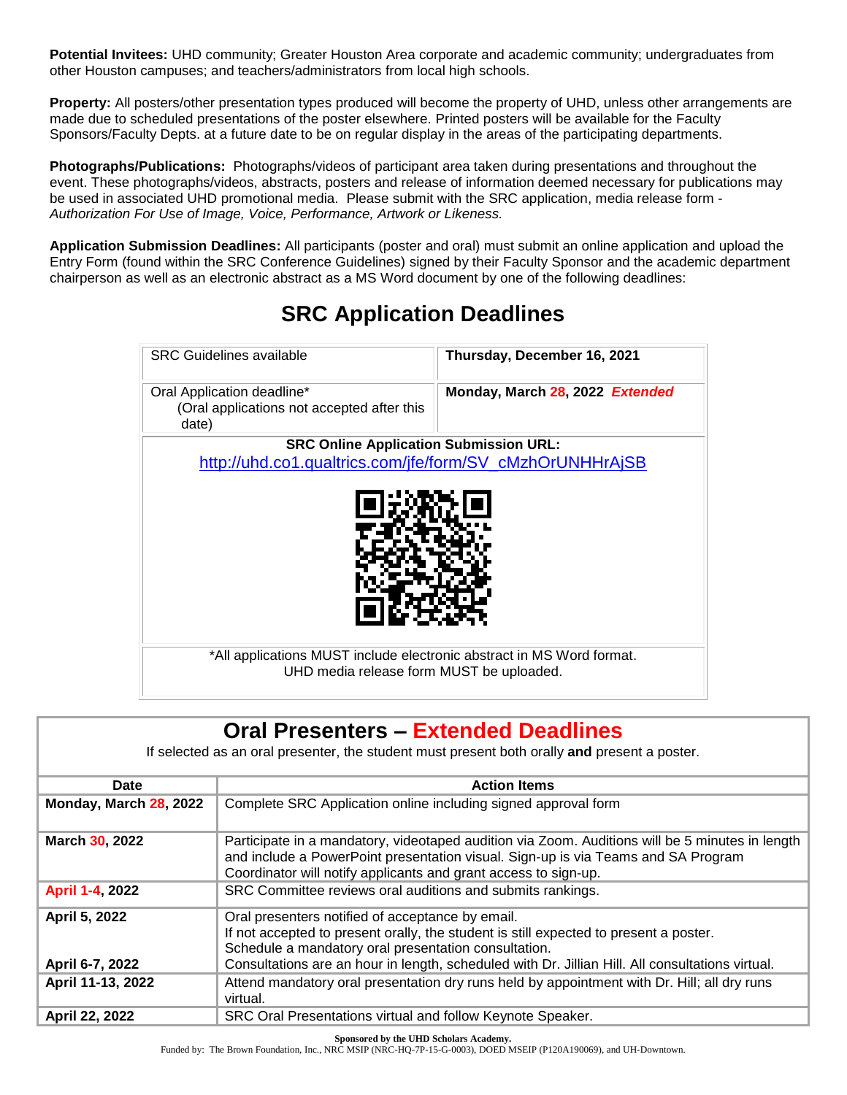**Potential Invitees:** UHD community; Greater Houston Area corporate and academic community; undergraduates from other Houston campuses; and teachers/administrators from local high schools.

**Property:** All posters/other presentation types produced will become the property of UHD, unless other arrangements are made due to scheduled presentations of the poster elsewhere. Printed posters will be available for the Faculty Sponsors/Faculty Depts. at a future date to be on regular display in the areas of the participating departments.

**Photographs/Publications:** Photographs/videos of participant area taken during presentations and throughout the event. These photographs/videos, abstracts, posters and release of information deemed necessary for publications may be used in associated UHD promotional media. Please submit with the SRC application, media release form - *Authorization For Use of Image, Voice, Performance, Artwork or Likeness.*

**Application Submission Deadlines:** All participants (poster and oral) must submit an online application and upload the Entry Form (found within the SRC Conference Guidelines) signed by their Faculty Sponsor and the academic department chairperson as well as an electronic abstract as a MS Word document by one of the following deadlines:

| <b>SRC Guidelines available</b>                                                   | Thursday, December 16, 2021     |  |
|-----------------------------------------------------------------------------------|---------------------------------|--|
| Oral Application deadline*<br>(Oral applications not accepted after this<br>date) | Monday, March 28, 2022 Extended |  |
| <b>SRC Online Application Submission URL:</b>                                     |                                 |  |
| http://uhd.co1.qualtrics.com/jfe/form/SV_cMzhOrUNHHrAjSB                          |                                 |  |
| *All applications MUST include electronic abstract in MS Word format.             |                                 |  |
| UHD media release form MUST be uploaded.                                          |                                 |  |

# **SRC Application Deadlines**

| <b>Oral Presenters - Extended Deadlines</b>                                                  |                                                                                                                                                                                                                                                         |  |
|----------------------------------------------------------------------------------------------|---------------------------------------------------------------------------------------------------------------------------------------------------------------------------------------------------------------------------------------------------------|--|
| If selected as an oral presenter, the student must present both orally and present a poster. |                                                                                                                                                                                                                                                         |  |
| Date                                                                                         | <b>Action Items</b>                                                                                                                                                                                                                                     |  |
| <b>Monday, March 28, 2022</b>                                                                | Complete SRC Application online including signed approval form                                                                                                                                                                                          |  |
| <b>March 30, 2022</b>                                                                        | Participate in a mandatory, videotaped audition via Zoom. Auditions will be 5 minutes in length<br>and include a PowerPoint presentation visual. Sign-up is via Teams and SA Program<br>Coordinator will notify applicants and grant access to sign-up. |  |
| April 1-4, 2022                                                                              | SRC Committee reviews oral auditions and submits rankings.                                                                                                                                                                                              |  |
| April 5, 2022                                                                                | Oral presenters notified of acceptance by email.<br>If not accepted to present orally, the student is still expected to present a poster.<br>Schedule a mandatory oral presentation consultation.                                                       |  |
| April 6-7, 2022                                                                              | Consultations are an hour in length, scheduled with Dr. Jillian Hill. All consultations virtual.                                                                                                                                                        |  |
| April 11-13, 2022                                                                            | Attend mandatory oral presentation dry runs held by appointment with Dr. Hill; all dry runs<br>virtual.                                                                                                                                                 |  |
| April 22, 2022                                                                               | SRC Oral Presentations virtual and follow Keynote Speaker.                                                                                                                                                                                              |  |

**Sponsored by the UHD Scholars Academy.**

Funded by: The Brown Foundation, Inc., NRC MSIP (NRC-HQ-7P-15-G-0003), DOED MSEIP (P120A190069), and UH-Downtown.